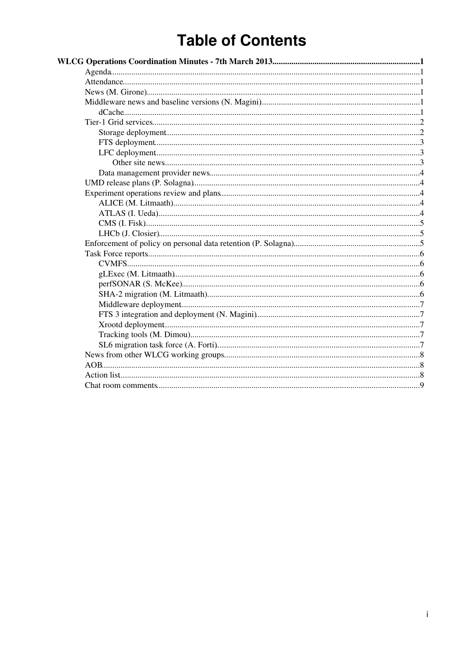# **Table of Contents**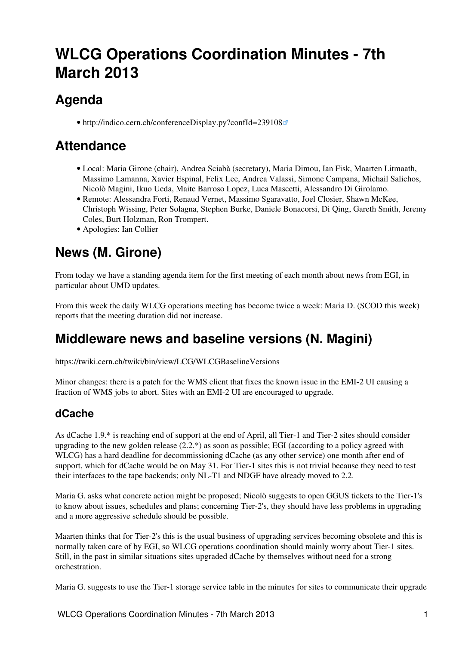# <span id="page-1-0"></span>**WLCG Operations Coordination Minutes - 7th March 2013**

## <span id="page-1-1"></span>**Agenda**

• <http://indico.cern.ch/conferenceDisplay.py?confId=239108>

## <span id="page-1-2"></span>**Attendance**

- Local: Maria Girone (chair), Andrea Sciabà (secretary), Maria Dimou, Ian Fisk, Maarten Litmaath, Massimo Lamanna, Xavier Espinal, Felix Lee, Andrea Valassi, Simone Campana, Michail Salichos, Nicolò Magini, Ikuo Ueda, Maite Barroso Lopez, Luca Mascetti, Alessandro Di Girolamo.
- Remote: Alessandra Forti, Renaud Vernet, Massimo Sgaravatto, Joel Closier, Shawn McKee, Christoph Wissing, Peter Solagna, Stephen Burke, Daniele Bonacorsi, Di Qing, Gareth Smith, Jeremy Coles, Burt Holzman, Ron Trompert.
- Apologies: Ian Collier

## <span id="page-1-3"></span>**News (M. Girone)**

From today we have a standing agenda item for the first meeting of each month about news from EGI, in particular about UMD updates.

From this week the daily WLCG operations meeting has become twice a week: Maria D. (SCOD this week) reports that the meeting duration did not increase.

## <span id="page-1-4"></span>**Middleware news and baseline versions (N. Magini)**

<https://twiki.cern.ch/twiki/bin/view/LCG/WLCGBaselineVersions>

Minor changes: there is a patch for the WMS client that fixes the known issue in the EMI-2 UI causing a fraction of WMS jobs to abort. Sites with an EMI-2 UI are encouraged to upgrade.

### <span id="page-1-5"></span>**dCache**

As dCache 1.9.\* is reaching end of support at the end of April, all Tier-1 and Tier-2 sites should consider upgrading to the new golden release  $(2.2^*)$  as soon as possible; EGI (according to a policy agreed with WLCG) has a hard deadline for decommissioning dCache (as any other service) one month after end of support, which for dCache would be on May 31. For Tier-1 sites this is not trivial because they need to test their interfaces to the tape backends; only NL-T1 and NDGF have already moved to 2.2.

Maria G. asks what concrete action might be proposed; Nicolò suggests to open GGUS tickets to the Tier-1's to know about issues, schedules and plans; concerning Tier-2's, they should have less problems in upgrading and a more aggressive schedule should be possible.

Maarten thinks that for Tier-2's this is the usual business of upgrading services becoming obsolete and this is normally taken care of by EGI, so WLCG operations coordination should mainly worry about Tier-1 sites. Still, in the past in similar situations sites upgraded dCache by themselves without need for a strong orchestration.

Maria G. suggests to use the Tier-1 storage service table in the minutes for sites to communicate their upgrade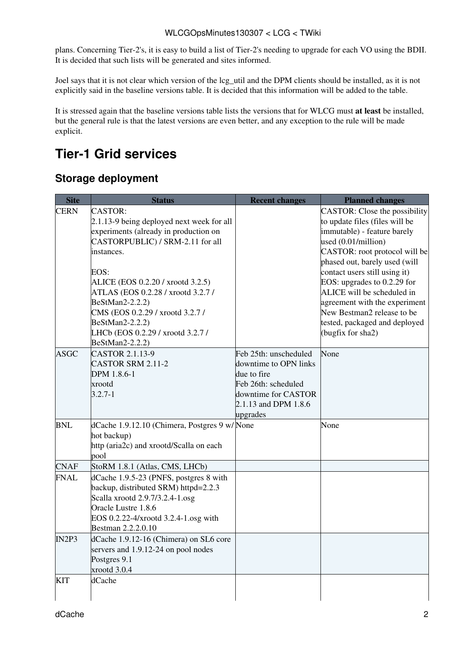plans. Concerning Tier-2's, it is easy to build a list of Tier-2's needing to upgrade for each VO using the BDII. It is decided that such lists will be generated and sites informed.

Joel says that it is not clear which version of the lcg\_util and the DPM clients should be installed, as it is not explicitly said in the baseline versions table. It is decided that this information will be added to the table.

It is stressed again that the baseline versions table lists the versions that for WLCG must **at least** be installed, but the general rule is that the latest versions are even better, and any exception to the rule will be made explicit.

## <span id="page-2-0"></span>**Tier-1 Grid services**

#### <span id="page-2-1"></span>**Storage deployment**

| <b>Site</b> | <b>Status</b>                                                                                                                                                                                                                                                                                                                                                               | <b>Recent changes</b>                                                                                                                           | <b>Planned changes</b>                                                                                                                                                                                                                                                                                                                                                                                       |
|-------------|-----------------------------------------------------------------------------------------------------------------------------------------------------------------------------------------------------------------------------------------------------------------------------------------------------------------------------------------------------------------------------|-------------------------------------------------------------------------------------------------------------------------------------------------|--------------------------------------------------------------------------------------------------------------------------------------------------------------------------------------------------------------------------------------------------------------------------------------------------------------------------------------------------------------------------------------------------------------|
| <b>CERN</b> | <b>CASTOR:</b><br>2.1.13-9 being deployed next week for all<br>experiments (already in production on<br>CASTORPUBLIC) / SRM-2.11 for all<br>instances.<br>EOS:<br>ALICE (EOS 0.2.20 / xrootd 3.2.5)<br>ATLAS (EOS 0.2.28 / xrootd 3.2.7 /<br>BeStMan2-2.2.2)<br>CMS (EOS 0.2.29 / xrootd 3.2.7 /<br>BeStMan2-2.2.2)<br>LHCb (EOS 0.2.29 / xrootd 3.2.7 /<br>BeStMan2-2.2.2) |                                                                                                                                                 | CASTOR: Close the possibility<br>to update files (files will be<br>immutable) - feature barely<br>used (0.01/million)<br>CASTOR: root protocol will be<br>phased out, barely used (will<br>contact users still using it)<br>EOS: upgrades to $0.2.29$ for<br>ALICE will be scheduled in<br>agreement with the experiment<br>New Bestman2 release to be<br>tested, packaged and deployed<br>(bugfix for sha2) |
| <b>ASGC</b> | CASTOR 2.1.13-9<br><b>CASTOR SRM 2.11-2</b><br>DPM 1.8.6-1<br>xrootd<br>$3.2.7 - 1$                                                                                                                                                                                                                                                                                         | Feb 25th: unscheduled<br>downtime to OPN links<br>due to fire<br>Feb 26th: scheduled<br>downtime for CASTOR<br>2.1.13 and DPM 1.8.6<br>upgrades | None                                                                                                                                                                                                                                                                                                                                                                                                         |
| <b>BNL</b>  | dCache 1.9.12.10 (Chimera, Postgres 9 w/None<br>hot backup)<br>http (aria2c) and xrootd/Scalla on each<br>pool                                                                                                                                                                                                                                                              |                                                                                                                                                 | None                                                                                                                                                                                                                                                                                                                                                                                                         |
| <b>CNAF</b> | StoRM 1.8.1 (Atlas, CMS, LHCb)                                                                                                                                                                                                                                                                                                                                              |                                                                                                                                                 |                                                                                                                                                                                                                                                                                                                                                                                                              |
| <b>FNAL</b> | dCache 1.9.5-23 (PNFS, postgres 8 with<br>backup, distributed SRM) httpd=2.2.3<br>Scalla xrootd 2.9.7/3.2.4-1.osg<br>Oracle Lustre 1.8.6<br>EOS 0.2.22-4/xrootd 3.2.4-1.osg with<br>Bestman 2.2.2.0.10                                                                                                                                                                      |                                                                                                                                                 |                                                                                                                                                                                                                                                                                                                                                                                                              |
| IN2P3       | dCache 1.9.12-16 (Chimera) on SL6 core<br>servers and 1.9.12-24 on pool nodes<br>Postgres 9.1<br>xrootd $3.0.4$                                                                                                                                                                                                                                                             |                                                                                                                                                 |                                                                                                                                                                                                                                                                                                                                                                                                              |
| KIT         | dCache                                                                                                                                                                                                                                                                                                                                                                      |                                                                                                                                                 |                                                                                                                                                                                                                                                                                                                                                                                                              |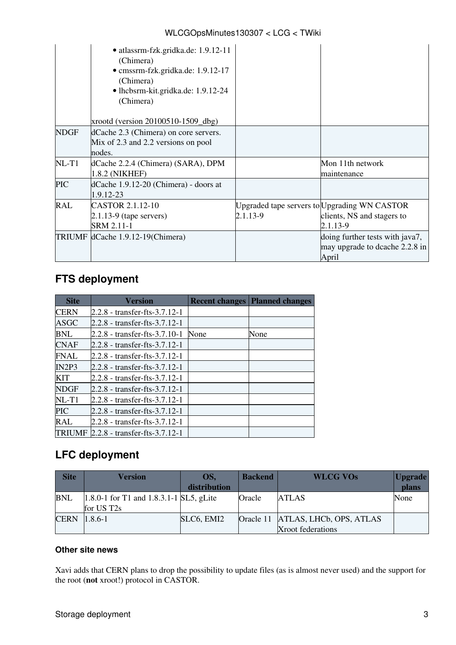#### WLCGOpsMinutes130307 < LCG < TWiki

|             | · atlassrm-fzk.gridka.de: 1.9.12-11<br>(Chimera)<br>· cmssrm-fzk.gridka.de: 1.9.12-17<br>(Chimera)<br>• lhcbsrm-kit.gridka.de: 1.9.12-24<br>(Chimera)<br>xrootd (version 20100510-1509_dbg) |          |                                                                                        |
|-------------|---------------------------------------------------------------------------------------------------------------------------------------------------------------------------------------------|----------|----------------------------------------------------------------------------------------|
| <b>NDGF</b> | dCache 2.3 (Chimera) on core servers.<br>Mix of 2.3 and 2.2 versions on pool<br>nodes.                                                                                                      |          |                                                                                        |
| $NL-T1$     | dCache 2.2.4 (Chimera) (SARA), DPM<br>1.8.2 (NIKHEF)                                                                                                                                        |          | Mon 11th network<br>maintenance                                                        |
| <b>PIC</b>  | dCache 1.9.12-20 (Chimera) - doors at<br>1.9.12-23                                                                                                                                          |          |                                                                                        |
| <b>RAL</b>  | CASTOR 2.1.12-10<br>$2.1.13-9$ (tape servers)<br>SRM 2.11-1                                                                                                                                 | 2.1.13-9 | Upgraded tape servers to Upgrading WN CASTOR<br>clients, NS and stagers to<br>2.1.13-9 |
|             | TRIUMF dCache 1.9.12-19(Chimera)                                                                                                                                                            |          | doing further tests with java7,<br>may upgrade to dcache 2.2.8 in<br>April             |

#### <span id="page-3-0"></span>**FTS deployment**

| <b>Site</b> | <b>Version</b>                  |      | <b>Recent changes Planned changes</b> |
|-------------|---------------------------------|------|---------------------------------------|
| <b>CERN</b> | 2.2.8 - transfer-fts-3.7.12-1   |      |                                       |
| ASGC        | 2.2.8 - transfer-fts-3.7.12-1   |      |                                       |
| BNL         | 2.2.8 - transfer-fts-3.7.10-1   | None | None                                  |
| <b>CNAF</b> | 2.2.8 - transfer-fts-3.7.12-1   |      |                                       |
| <b>FNAL</b> | 2.2.8 - transfer-fts-3.7.12-1   |      |                                       |
| IN2P3       | 2.2.8 - transfer-fts-3.7.12-1   |      |                                       |
| <b>KIT</b>  | 2.2.8 - transfer-fts-3.7.12-1   |      |                                       |
| <b>NDGF</b> | 2.2.8 - transfer-fts-3.7.12-1   |      |                                       |
| $NL-T1$     | 2.2.8 - transfer-fts-3.7.12-1   |      |                                       |
| <b>PIC</b>  | 2.2.8 - transfer-fts-3.7.12-1   |      |                                       |
| RAL         | 2.2.8 - transfer-fts-3.7.12-1   |      |                                       |
| TRIUMF      | $2.2.8$ - transfer-fts-3.7.12-1 |      |                                       |

#### <span id="page-3-1"></span>**LFC deployment**

| <b>Site</b> | <b>Version</b>                              | OS.          | <b>Backend</b> | <b>WLCG VOs</b>                   | <b>Upgrade</b> |
|-------------|---------------------------------------------|--------------|----------------|-----------------------------------|----------------|
|             |                                             | distribution |                |                                   | plans          |
| <b>BNL</b>  | $1.8.0 - 1$ for T1 and 1.8.3.1-1 SL5, gLite |              | Oracle         | <b>ATLAS</b>                      | None           |
|             | for US T <sub>2s</sub>                      |              |                |                                   |                |
| <b>CERN</b> | $1.8.6 - 1$                                 | SLC6, EMI2   |                | Oracle 11 ATLAS, LHCb, OPS, ATLAS |                |
|             |                                             |              |                | Xroot federations                 |                |

#### <span id="page-3-2"></span>**Other site news**

Xavi adds that CERN plans to drop the possibility to update files (as is almost never used) and the support for the root (**not** xroot!) protocol in CASTOR.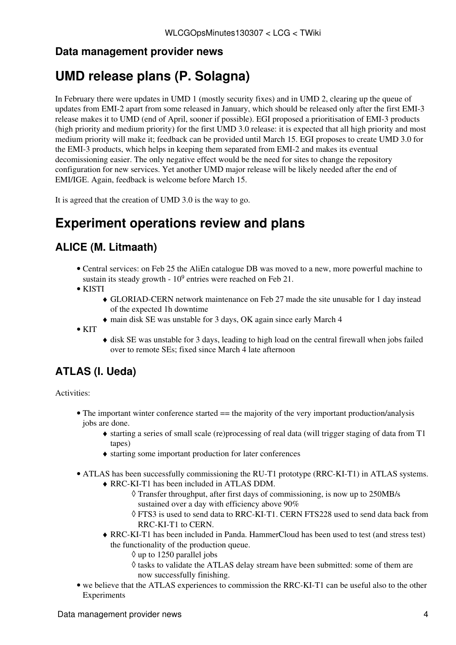#### <span id="page-4-0"></span>**Data management provider news**

## <span id="page-4-1"></span>**UMD release plans (P. Solagna)**

In February there were updates in UMD 1 (mostly security fixes) and in UMD 2, clearing up the queue of updates from EMI-2 apart from some released in January, which should be released only after the first EMI-3 release makes it to UMD (end of April, sooner if possible). EGI proposed a prioritisation of EMI-3 products (high priority and medium priority) for the first UMD 3.0 release: it is expected that all high priority and most medium priority will make it; feedback can be provided until March 15. EGI proposes to create UMD 3.0 for the EMI-3 products, which helps in keeping them separated from EMI-2 and makes its eventual decomissioning easier. The only negative effect would be the need for sites to change the repository configuration for new services. Yet another UMD major release will be likely needed after the end of EMI/IGE. Again, feedback is welcome before March 15.

It is agreed that the creation of UMD 3.0 is the way to go.

## <span id="page-4-2"></span>**Experiment operations review and plans**

### <span id="page-4-3"></span>**ALICE (M. Litmaath)**

- Central services: on Feb 25 the AliEn catalogue DB was moved to a new, more powerful machine to sustain its steady growth -  $10^9$  entries were reached on Feb 21.
- KISTI
	- GLORIAD-CERN network maintenance on Feb 27 made the site unusable for 1 day instead ♦ of the expected 1h downtime
	- ♦ main disk SE was unstable for 3 days, OK again since early March 4
- $\bullet$  KIT
- disk SE was unstable for 3 days, leading to high load on the central firewall when jobs failed ♦ over to remote SEs; fixed since March 4 late afternoon

### <span id="page-4-4"></span>**ATLAS (I. Ueda)**

Activities:

- The important winter conference started == the majority of the very important production/analysis jobs are done.
	- starting a series of small scale (re)processing of real data (will trigger staging of data from T1 ♦ tapes)
	- ♦ starting some important production for later conferences
- ATLAS has been successfully commissioning the RU-T1 prototype (RRC-KI-T1) in ATLAS systems. RRC-KI-T1 has been included in ATLAS DDM. ♦
	- Transfer throughput, after first days of commissioning, is now up to 250MB/s ◊ sustained over a day with efficiency above 90%
	- FTS3 is used to send data to RRC-KI-T1. CERN FTS228 used to send data back from ◊ RRC-KI-T1 to CERN.
	- RRC-KI-T1 has been included in Panda. HammerCloud has been used to test (and stress test) ♦ the functionality of the production queue.
		- $\Diamond$  up to 1250 parallel jobs
		- ◊ tasks to validate the ATLAS delay stream have been submitted: some of them are now successfully finishing.
- we believe that the ATLAS experiences to commission the RRC-KI-T1 can be useful also to the other Experiments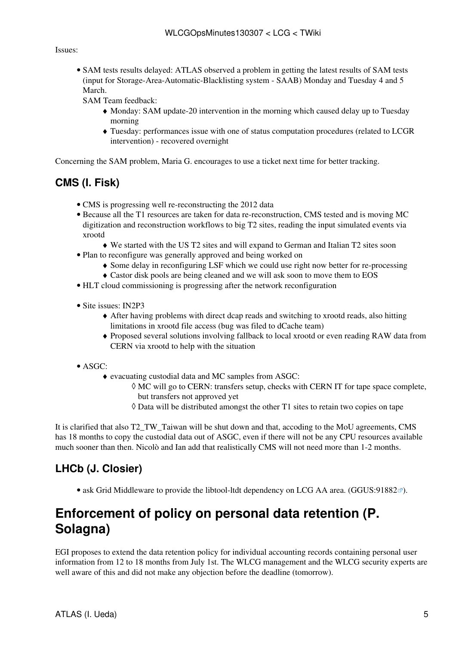#### Issues:

• SAM tests results delayed: ATLAS observed a problem in getting the latest results of SAM tests (input for Storage-Area-Automatic-Blacklisting system - SAAB) Monday and Tuesday 4 and 5 March.

SAM Team feedback:

- Monday: SAM update-20 intervention in the morning which caused delay up to Tuesday ♦ morning
- Tuesday: performances issue with one of status computation procedures (related to LCGR ♦ intervention) - recovered overnight

Concerning the SAM problem, Maria G. encourages to use a ticket next time for better tracking.

#### <span id="page-5-0"></span>**CMS (I. Fisk)**

- CMS is progressing well re-reconstructing the 2012 data
- Because all the T1 resources are taken for data re-reconstruction, CMS tested and is moving MC digitization and reconstruction workflows to big T2 sites, reading the input simulated events via xrootd
	- ♦ We started with the US T2 sites and will expand to German and Italian T2 sites soon
- Plan to reconfigure was generally approved and being worked on
	- ♦ Some delay in reconfiguring [LSF](https://twiki.cern.ch/twiki/bin/view/LCG/LSF) which we could use right now better for re-processing
		- ♦ Castor disk pools are being cleaned and we will ask soon to move them to EOS
- HLT cloud commissioning is progressing after the network reconfiguration
- Site issues: [IN2P3](https://twiki.cern.ch/twiki/bin/view/LCG/IN2P3)
	- After having problems with direct dcap reads and switching to xrootd reads, also hitting ♦ limitations in xrootd file access (bug was filed to dCache team)
	- Proposed several solutions involving fallback to local xrootd or even reading RAW data from ♦ CERN via xrootd to help with the situation
- ASGC:
	- evacuating custodial data and MC samples from ASGC: ♦
		- MC will go to CERN: transfers setup, checks with CERN IT for tape space complete, ◊ but transfers not approved yet
		- $\Diamond$  Data will be distributed amongst the other T1 sites to retain two copies on tape

It is clarified that also T2\_TW\_Taiwan will be shut down and that, accoding to the MoU agreements, CMS has 18 months to copy the custodial data out of ASGC, even if there will not be any CPU resources available much sooner than then. Nicolò and Ian add that realistically CMS will not need more than 1-2 months.

#### <span id="page-5-1"></span>**LHCb (J. Closier)**

• ask Grid Middleware to provide the libtool-ltdt dependency on LCG AA area. ([GGUS:91882](https://ggus.eu/ws/ticket_info.php?ticket=91882) $\sigma$ ).

## <span id="page-5-2"></span>**Enforcement of policy on personal data retention (P. Solagna)**

EGI proposes to extend the data retention policy for individual accounting records containing personal user information from 12 to 18 months from July 1st. The WLCG management and the WLCG security experts are well aware of this and did not make any objection before the deadline (tomorrow).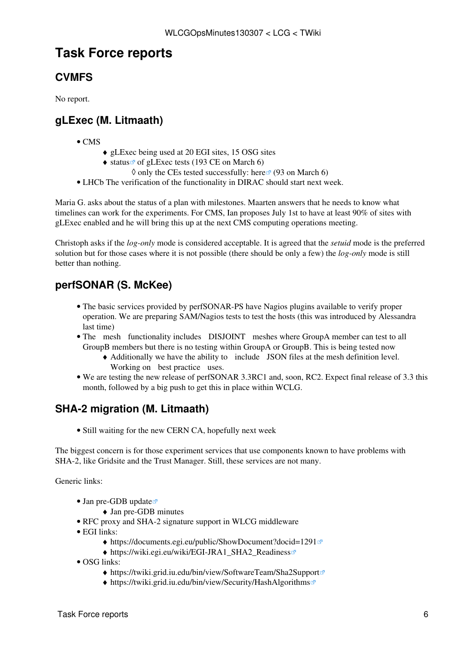## <span id="page-6-0"></span>**Task Force reports**

### <span id="page-6-1"></span>**CVMFS**

No report.

#### <span id="page-6-2"></span>**gLExec (M. Litmaath)**

- $\bullet$  CMS
- ♦ gLExec being used at 20 EGI sites, 15 OSG sites
- $\bullet$  [status](http://grid-monitoring.cern.ch/mywlcg/services/?vo=62&profile=14&monitored=1) <sup>a</sup> of gLExec tests (193 CE on March 6)
- $\Diamond$  only the CEs tested successfully: [here](http://grid-monitoring.cern.ch/mywlcg/services/?vo=62&profile=14&monitored=1&status=1)  $\degree$  (93 on March 6)
- LHCb The verification of the functionality in DIRAC should start next week.

Maria G. asks about the status of a plan with milestones. Maarten answers that he needs to know what timelines can work for the experiments. For CMS, Ian proposes July 1st to have at least 90% of sites with gLExec enabled and he will bring this up at the next CMS computing operations meeting.

Christoph asks if the *log-only* mode is considered acceptable. It is agreed that the *setuid* mode is the preferred solution but for those cases where it is not possible (there should be only a few) the *log-only* mode is still better than nothing.

### <span id="page-6-3"></span>**perfSONAR (S. McKee)**

- The basic services provided by perfSONAR-PS have Nagios plugins available to verify proper operation. We are preparing SAM/Nagios tests to test the hosts (this was introduced by Alessandra last time)
- The mesh functionality includes DISJOINT meshes where GroupA member can test to all GroupB members but there is no testing within GroupA or GroupB. This is being tested now
	- Additionally we have the ability to include JSON files at the mesh definition level. ♦ Working on best practice uses.
- We are testing the new release of perfSONAR 3.3RC1 and, soon, RC2. Expect final release of 3.3 this month, followed by a big push to get this in place within WCLG.

#### <span id="page-6-4"></span>**SHA-2 migration (M. Litmaath)**

• Still waiting for the new CERN CA, hopefully next week

The biggest concern is for those experiment services that use components known to have problems with SHA-2, like Gridsite and the Trust Manager. Still, these services are not many.

Generic links:

- [Jan pre-GDB update](https://indico.cern.ch/getFile.py/access?subContId=0&contribId=2&resId=1&materialId=slides&confId=222752)
	- ♦ [Jan pre-GDB minutes](https://twiki.cern.ch/twiki/bin/view/LCG/WLCGOpsMinutes130115#SHA_2_M_Litmaath)
- [RFC proxy and SHA-2 signature support in WLCG middleware](https://twiki.cern.ch/twiki/bin/view/LCG/RFCproxySHA2support)
- EGI links:
	- $\triangleq$  <https://documents.egi.eu/public/ShowDocument?docid=1291><sup>®</sup>
	- ◆ [https://wiki.egi.eu/wiki/EGI-JRA1\\_SHA2\\_Readiness](https://wiki.egi.eu/wiki/EGI-JRA1_SHA2_Readiness)
- OSG links:
	- ♦ <https://twiki.grid.iu.edu/bin/view/SoftwareTeam/Sha2Support>
	- ♦ <https://twiki.grid.iu.edu/bin/view/Security/HashAlgorithms>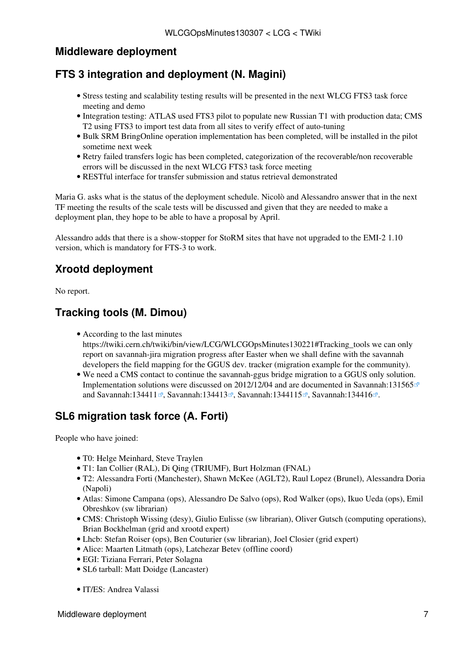#### <span id="page-7-0"></span>**Middleware deployment**

#### <span id="page-7-1"></span>**FTS 3 integration and deployment (N. Magini)**

- Stress testing and scalability testing results will be presented in the next WLCG FTS3 task force meeting and demo
- Integration testing: ATLAS used FTS3 pilot to populate new Russian T1 with production data; CMS T2 using FTS3 to import test data from all sites to verify effect of auto-tuning
- Bulk SRM BringOnline operation implementation has been completed, will be installed in the pilot sometime next week
- Retry failed transfers logic has been completed, categorization of the recoverable/non recoverable errors will be discussed in the next WLCG FTS3 task force meeting
- RESTful interface for transfer submission and status retrieval demonstrated

Maria G. asks what is the status of the deployment schedule. Nicolò and Alessandro answer that in the next TF meeting the results of the scale tests will be discussed and given that they are needed to make a deployment plan, they hope to be able to have a proposal by April.

Alessandro adds that there is a show-stopper for StoRM sites that have not upgraded to the EMI-2 1.10 version, which is mandatory for FTS-3 to work.

#### <span id="page-7-2"></span>**Xrootd deployment**

No report.

#### <span id="page-7-3"></span>**Tracking tools (M. Dimou)**

According to the last minutes •

https://twiki.cern.ch/twiki/bin/view/LCG/WLCGOpsMinutes130221#Tracking tools we can only report on savannah-jira migration progress after Easter when we shall define with the savannah developers the field mapping for the GGUS dev. tracker (migration example for the community).

We need a CMS contact to continue the savannah-ggus bridge migration to a GGUS only solution. • Implementation solutions were discussed on 2012/12/04 and are documented in [Savannah:131565](https://savannah.cern.ch/support/?131565) $\infty$ and [Savannah:134411](https://savannah.cern.ch/support/?134411) , [Savannah:134413](https://savannah.cern.ch/support/?134413) , [Savannah:1344115](https://savannah.cern.ch/support/?1344115) , [Savannah:134416](https://savannah.cern.ch/support/?134416) .

#### <span id="page-7-4"></span>**SL6 migration task force (A. Forti)**

People who have joined:

- T0: Helge Meinhard, Steve Traylen
- T1: Ian Collier (RAL), Di Qing (TRIUMF), Burt Holzman (FNAL)
- T2: Alessandra Forti (Manchester), Shawn McKee (AGLT2), Raul Lopez (Brunel), Alessandra Doria (Napoli)
- Atlas: Simone Campana (ops), Alessandro De Salvo (ops), Rod Walker (ops), Ikuo Ueda (ops), Emil Obreshkov (sw librarian)
- CMS: Christoph Wissing (desy), Giulio Eulisse (sw librarian), Oliver Gutsch (computing operations), Brian Bockhelman (grid and xrootd expert)
- Lhcb: Stefan Roiser (ops), Ben Couturier (sw librarian), Joel Closier (grid expert)
- Alice: Maarten Litmath (ops), Latchezar Betev (offline coord)
- EGI: Tiziana Ferrari, Peter Solagna
- SL6 tarball: Matt Doidge (Lancaster)
- IT/ES: Andrea Valassi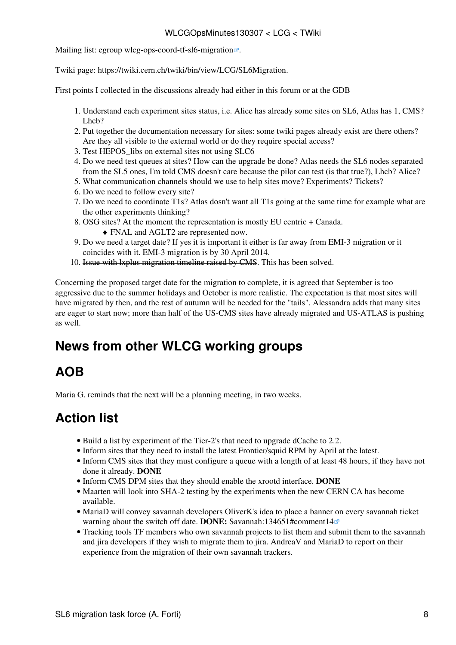#### WLCGOpsMinutes130307 < LCG < TWiki

Mailing list: [egroup wlcg-ops-coord-tf-sl6-migration](https://e-groups.cern.ch/e-groups/Egroup.do?egroupId=10084417)<sup>®</sup>.

Twiki page: <https://twiki.cern.ch/twiki/bin/view/LCG/SL6Migration>.

First points I collected in the discussions already had either in this forum or at the GDB

- 1. Understand each experiment sites status, i.e. Alice has already some sites on SL6, Atlas has 1, CMS? Lhch?
- 2. Put together the documentation necessary for sites: some twiki pages already exist are there others? Are they all visible to the external world or do they require special access?
- 3. Test HEPOS\_libs on external sites not using SLC6
- Do we need test queues at sites? How can the upgrade be done? Atlas needs the SL6 nodes separated 4. from the SL5 ones, I'm told CMS doesn't care because the pilot can test (is that true?), Lhcb? Alice?
- 5. What communication channels should we use to help sites move? Experiments? Tickets?
- 6. Do we need to follow every site?
- Do we need to coordinate T1s? Atlas dosn't want all T1s going at the same time for example what are 7. the other experiments thinking?
- OSG sites? At the moment the representation is mostly EU centric + Canada. 8.
	- ♦ FNAL and AGLT2 are represented now.
- Do we need a target date? If yes it is important it either is far away from EMI-3 migration or it 9. coincides with it. EMI-3 migration is by 30 April 2014.
- 10. Issue with lxplus migration timeline raised by CMS. This has been solved.

Concerning the proposed target date for the migration to complete, it is agreed that September is too aggressive due to the summer holidays and October is more realistic. The expectation is that most sites will have migrated by then, and the rest of autumn will be needed for the "tails". Alessandra adds that many sites are eager to start now; more than half of the US-CMS sites have already migrated and US-ATLAS is pushing as well.

## <span id="page-8-0"></span>**News from other WLCG working groups**

## <span id="page-8-1"></span>**AOB**

Maria G. reminds that the next will be a planning meeting, in two weeks.

## <span id="page-8-2"></span>**Action list**

- Build a list by experiment of the Tier-2's that need to upgrade dCache to 2.2.
- Inform sites that they need to install the latest Frontier/squid RPM by April at the latest.
- Inform CMS sites that they must configure a queue with a length of at least 48 hours, if they have not done it already. **DONE**
- Inform CMS DPM sites that they should enable the xrootd interface. **DONE**
- Maarten will look into SHA-2 testing by the experiments when the new CERN CA has become available.
- MariaD will convey savannah developers OliverK's idea to place a banner on every savannah ticket warning about the switch off date. **DONE:** [Savannah:134651#comment14](https://savannah.cern.ch/support/?134651#comment14)
- Tracking tools TF members who own savannah projects to list them and submit them to the savannah and jira developers if they wish to migrate them to jira. AndreaV and MariaD to report on their experience from the migration of their own savannah trackers.